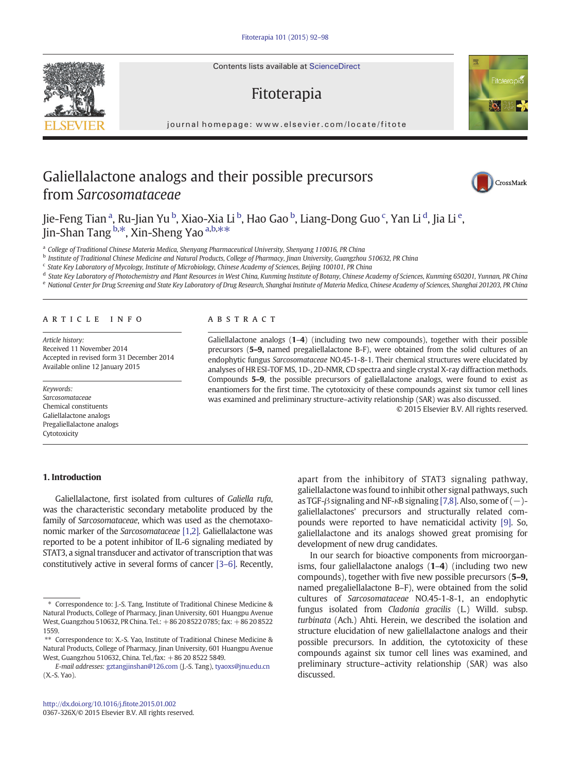Contents lists available at ScienceDirect

# Fitoterapia

journal homepage: www.elsevier.com/locate/fitotelevier.com/locate/fitotelevier.com/locate/fitotelevier.com/locate/fitotelevier.com/locate/fitotelevier.com/locate/fitotelevier.com/locate/fitotelevier.com/locate/fitotelevie

# Galiellalactone analogs and their possible precursors from Sarcosomataceae

Jie-Feng Tian <sup>a</sup>, Ru-Jian Yu <sup>b</sup>, Xiao-Xia Li <sup>b</sup>, Hao Gao <sup>b</sup>, Liang-Dong Guo <sup>c</sup>, Yan Li <sup>d</sup>, Jia Li <sup>e</sup>, Jin-Shan Tang <sup>b,\*</sup>, Xin-Sheng Yao <sup>a,b,\*\*</sup>

<sup>a</sup> College of Traditional Chinese Materia Medica, Shenyang Pharmaceutical University, Shenyang 110016, PR China

**b** Institute of Traditional Chinese Medicine and Natural Products, College of Pharmacy, Jinan University, Guangzhou 510632, PR China

<sup>c</sup> State Key Laboratory of Mycology, Institute of Microbiology, Chinese Academy of Sciences, Beijing 100101, PR China

d State Key Laboratory of Photochemistry and Plant Resources in West China, Kunming Institute of Botany, Chinese Academy of Sciences, Kunming 650201, Yunnan, PR China e National Center for Drug Screening and State Key Laboratory of Drug Research, Shanghai Institute of Materia Medica, Chinese Academy of Sciences, Shanghai 201203, PR China

#### article info abstract

Article history: Received 11 November 2014 Accepted in revised form 31 December 2014 Available online 12 January 2015

Keywords: Sarcosomataceae Chemical constituents Galiellalactone analogs Pregaliellalactone analogs Cytotoxicity

# 1. Introduction

Galiellalactone, first isolated from cultures of Galiella rufa, was the characteristic secondary metabolite produced by the family of Sarcosomataceae, which was used as the chemotaxonomic marker of the Sarcosomataceae [\[1,2\]](#page-6-0). Galiellalactone was reported to be a potent inhibitor of IL-6 signaling mediated by STAT3, a signal transducer and activator of transcription that was constitutively active in several forms of cancer [\[3](#page-6-0)–6]. Recently,

Galiellalactone analogs (1–4) (including two new compounds), together with their possible precursors (5–9, named pregaliellalactone B-F), were obtained from the solid cultures of an endophytic fungus Sarcosomataceae NO.45-1-8-1. Their chemical structures were elucidated by analyses of HR ESI-TOF MS, 1D-, 2D-NMR, CD spectra and single crystal X-ray diffraction methods. Compounds 5–9, the possible precursors of galiellalactone analogs, were found to exist as enantiomers for the first time. The cytotoxicity of these compounds against six tumor cell lines was examined and preliminary structure–activity relationship (SAR) was also discussed.

© 2015 Elsevier B.V. All rights reserved.

apart from the inhibitory of STAT3 signaling pathway, galiellalactone was found to inhibit other signal pathways, such as TGF- $\beta$  signaling and NF- $\kappa$ B signaling [\[7,8\]](#page-6-0). Also, some of (-)galiellalactones' precursors and structurally related compounds were reported to have nematicidal activity [\[9\]](#page-6-0). So, galiellalactone and its analogs showed great promising for development of new drug candidates.

In our search for bioactive components from microorganisms, four galiellalactone analogs (1–4) (including two new compounds), together with five new possible precursors (5–9, named pregaliellalactone B–F), were obtained from the solid cultures of Sarcosomataceae NO.45-1-8-1, an endophytic fungus isolated from Cladonia gracilis (L.) Willd. subsp. turbinata (Ach.) Ahti. Herein, we described the isolation and structure elucidation of new galiellalactone analogs and their possible precursors. In addition, the cytotoxicity of these compounds against six tumor cell lines was examined, and preliminary structure–activity relationship (SAR) was also discussed.







<sup>⁎</sup> Correspondence to: J.-S. Tang, Institute of Traditional Chinese Medicine & Natural Products, College of Pharmacy, Jinan University, 601 Huangpu Avenue West, Guangzhou 510632, PR China. Tel.: +86 20 8522 0785; fax: +86 20 8522 1559.

<sup>⁎⁎</sup> Correspondence to: X.-S. Yao, Institute of Traditional Chinese Medicine & Natural Products, College of Pharmacy, Jinan University, 601 Huangpu Avenue West, Guangzhou 510632, China. Tel./fax: +86 20 8522 5849.

E-mail addresses: [gztangjinshan@126.com](mailto:gztangjinshan@126.com) (J.-S. Tang), [tyaoxs@jnu.edu.cn](mailto:tyaoxs@jnu.edu.cn) (X.-S. Yao).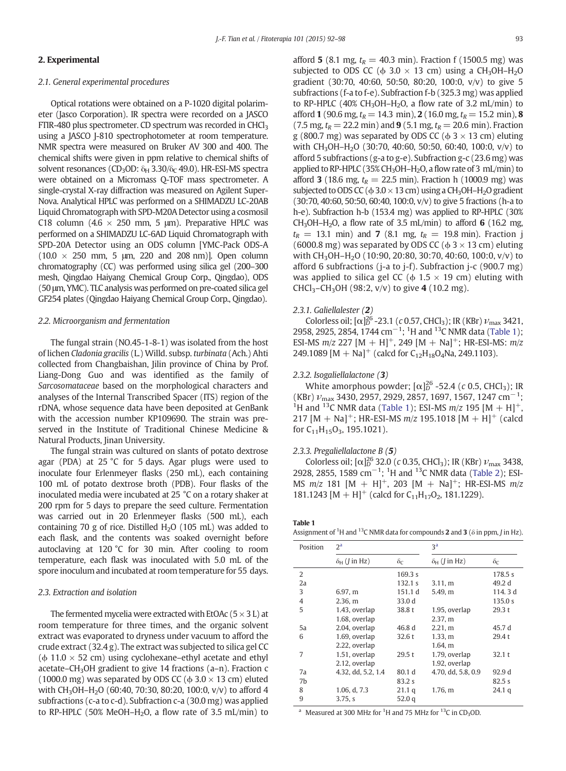# 2. Experimental

# 2.1. General experimental procedures

Optical rotations were obtained on a P-1020 digital polarimeter (Jasco Corporation). IR spectra were recorded on a JASCO FTIR-480 plus spectrometer. CD spectrum was recorded in CHCl<sub>3</sub> using a JASCO J-810 spectrophotometer at room temperature. NMR spectra were measured on Bruker AV 300 and 400. The chemical shifts were given in ppm relative to chemical shifts of solvent resonances (CD<sub>3</sub>OD:  $\delta_H$  3.30/ $\delta_C$  49.0). HR-ESI-MS spectra were obtained on a Micromass Q-TOF mass spectrometer. A single-crystal X-ray diffraction was measured on Agilent Super-Nova. Analytical HPLC was performed on a SHIMADZU LC-20AB Liquid Chromatograph with SPD-M20A Detector using a cosmosil C18 column (4.6  $\times$  250 mm, 5 µm). Preparative HPLC was performed on a SHIMADZU LC-6AD Liquid Chromatograph with SPD-20A Detector using an ODS column [YMC-Pack ODS-A  $(10.0 \times 250$  mm, 5  $\mu$ m, 220 and 208 nm)]. Open column chromatography (CC) was performed using silica gel (200–300 mesh, Qingdao Haiyang Chemical Group Corp., Qingdao), ODS (50 μm, YMC). TLC analysis was performed on pre-coated silica gel GF254 plates (Qingdao Haiyang Chemical Group Corp., Qingdao).

# 2.2. Microorganism and fermentation

The fungal strain (NO.45-1-8-1) was isolated from the host of lichen Cladonia gracilis (L.) Willd. subsp. turbinata (Ach.) Ahti collected from Changbaishan, Jilin province of China by Prof. Liang-Dong Guo and was identified as the family of Sarcosomataceae based on the morphological characters and analyses of the Internal Transcribed Spacer (ITS) region of the rDNA, whose sequence data have been deposited at GenBank with the accession number KP109690. The strain was preserved in the Institute of Traditional Chinese Medicine & Natural Products, Jinan University.

The fungal strain was cultured on slants of potato dextrose agar (PDA) at 25 °C for 5 days. Agar plugs were used to inoculate four Erlenmeyer flasks (250 mL), each containing 100 mL of potato dextrose broth (PDB). Four flasks of the inoculated media were incubated at 25 °C on a rotary shaker at 200 rpm for 5 days to prepare the seed culture. Fermentation was carried out in 20 Erlenmeyer flasks (500 mL), each containing 70 g of rice. Distilled  $H<sub>2</sub>O$  (105 mL) was added to each flask, and the contents was soaked overnight before autoclaving at 120 °C for 30 min. After cooling to room temperature, each flask was inoculated with 5.0 mL of the spore inoculum and incubated at room temperature for 55 days.

### 2.3. Extraction and isolation

The fermented mycelia were extracted with EtOAc  $(5 \times 3 L)$  at room temperature for three times, and the organic solvent extract was evaporated to dryness under vacuum to afford the crude extract (32.4 g). The extract was subjected to silica gel CC ( $\phi$  11.0  $\times$  52 cm) using cyclohexane–ethyl acetate and ethyl acetate–CH3OH gradient to give 14 fractions (a–n). Fraction c (1000.0 mg) was separated by ODS CC ( $\phi$  3.0  $\times$  13 cm) eluted with CH<sub>3</sub>OH–H<sub>2</sub>O (60:40, 70:30, 80:20, 100:0, v/v) to afford 4 subfractions (c-a to c-d). Subfraction c-a (30.0 mg) was applied to RP-HPLC (50% MeOH–H<sub>2</sub>O, a flow rate of 3.5 mL/min) to

afford 5 (8.1 mg,  $t_R = 40.3$  min). Fraction f (1500.5 mg) was subjected to ODS CC ( $\phi$  3.0  $\times$  13 cm) using a CH<sub>3</sub>OH–H<sub>2</sub>O gradient (30:70, 40:60, 50:50, 80:20, 100:0, v/v) to give 5

subfractions (f-a to f-e). Subfraction f-b (325.3 mg) was applied to RP-HPLC (40% CH<sub>3</sub>OH–H<sub>2</sub>O, a flow rate of 3.2 mL/min) to afford 1 (90.6 mg,  $t_R = 14.3$  min), 2 (16.0 mg,  $t_R = 15.2$  min), 8 (7.5 mg,  $t_R = 22.2$  min) and 9 (5.1 mg,  $t_R = 20.6$  min). Fraction g (800.7 mg) was separated by ODS CC ( $\phi$  3  $\times$  13 cm) eluting with CH<sub>3</sub>OH–H<sub>2</sub>O (30:70, 40:60, 50:50, 60:40, 100:0, v/v) to afford 5 subfractions (g-a to g-e). Subfraction g-c (23.6 mg) was applied to RP-HPLC (35% CH<sub>3</sub>OH–H<sub>2</sub>O, a flow rate of 3 mL/min) to afford 3 (18.6 mg,  $t_R = 22.5$  min). Fraction h (1000.9 mg) was subjected to ODS CC ( $\phi$ 3.0  $\times$  13 cm) using a CH<sub>3</sub>OH–H<sub>2</sub>O gradient (30:70, 40:60, 50:50, 60:40, 100:0, v/v) to give 5 fractions (h-a to h-e). Subfraction h-b (153.4 mg) was applied to RP-HPLC (30% CH<sub>3</sub>OH–H<sub>2</sub>O, a flow rate of 3.5 mL/min) to afford 6 (16.2 mg,  $t_R = 13.1$  min) and 7 (8.1 mg,  $t_R = 19.8$  min). Fraction i (6000.8 mg) was separated by ODS CC ( $\phi$  3  $\times$  13 cm) eluting with CH<sub>3</sub>OH-H<sub>2</sub>O (10:90, 20:80, 30:70, 40:60, 100:0, v/v) to afford 6 subfractions (j-a to j-f). Subfraction j-c (900.7 mg) was applied to silica gel CC ( $\phi$  1.5  $\times$  19 cm) eluting with CHCl<sub>3</sub>–CH<sub>3</sub>OH (98:2,  $v/v$ ) to give 4 (10.2 mg).

### 2.3.1. Galiellalester (2)

Colorless oil;  $[\alpha]_D^{26}$  -23.1 (c 0.57, CHCl<sub>3</sub>); IR (KBr)  $\nu_{\text{max}}$  3421, 2958, 2925, 2854, 1744 cm<sup>-1</sup>; <sup>1</sup>H and <sup>13</sup>C NMR data (Table 1); ESI-MS  $m/z$  227 [M + H]<sup>+</sup>, 249 [M + Na]<sup>+</sup>; HR-ESI-MS:  $m/z$ 249.1089  $[M + Na]$ <sup>+</sup> (calcd for C<sub>12</sub>H<sub>18</sub>O<sub>4</sub>Na, 249.1103).

# 2.3.2. Isogaliellalactone (3)

White amorphous powder;  $[\alpha]_D^{26}$  -52.4 (c 0.5, CHCl<sub>3</sub>); IR (KBr)  $v_{\text{max}}$  3430, 2957, 2929, 2857, 1697, 1567, 1247 cm<sup>-1</sup>; <sup>1</sup>H and <sup>13</sup>C NMR data (Table 1); ESI-MS  $m/z$  195 [M + H]<sup>+</sup>, 217  $[M + Na]^{+}$ ; HR-ESI-MS  $m/z$  195.1018  $[M + H]^{+}$  (calcd for  $C_{11}H_{15}O_3$ , 195.1021).

#### 2.3.3. Pregaliellalactone B (5)

Colorless oil;  $[\alpha]_D^{26}$  32.0 (c 0.35, CHCl<sub>3</sub>); IR (KBr)  $\nu_{\text{max}}$  3438, 2928, 2855, 1589 cm<sup>-1</sup>; <sup>1</sup>H and <sup>13</sup>C NMR data ([Table 2\)](#page-2-0); ESI-MS  $m/z$  181 [M + H]<sup>+</sup>, 203 [M + Na]<sup>+</sup>; HR-ESI-MS  $m/z$ 181.1243  $[M + H]^{+}$  (calcd for C<sub>11</sub>H<sub>17</sub>O<sub>2</sub>, 181.1229).

Table 1 Assignment of <sup>1</sup>H and <sup>13</sup>C NMR data for compounds 2 and 3 ( $\delta$  in ppm, J in Hz).

| Position       | $2^{\rm a}$                    |                        | 3 <sup>a</sup>               |                        |  |  |
|----------------|--------------------------------|------------------------|------------------------------|------------------------|--|--|
|                | $\delta_{H}$ ( <i>J</i> in Hz) | $\delta_{\mathcal{C}}$ | $\delta_H$ ( <i>J</i> in Hz) | $\delta_{\mathcal{C}}$ |  |  |
| 2              |                                | 169.3 s                |                              | 178.5 s                |  |  |
| 2a             |                                | 132.1 s                | 3.11, m                      | 49.2 d                 |  |  |
| 3              | 6.97, m                        | 151.1 d                | 5.49. m                      | 114.3 d                |  |  |
| $\overline{4}$ | 2.36, m                        | 33.0 d                 |                              | 135.0 s                |  |  |
| 5              | 1.43, overlap                  | 38.8 t                 | 1.95, overlap                | 29.3 t                 |  |  |
|                | 1.68, overlap                  |                        | 2.37, m                      |                        |  |  |
| 5a             | 2.04, overlap                  | 46.8 d                 | 2.21, m                      | 45.7 d                 |  |  |
| 6              | 1.69, overlap                  | 32.6 t                 | 1.33, m                      | 29.4t                  |  |  |
|                | 2.22, overlap                  |                        | $1.64$ , m                   |                        |  |  |
| 7              | 1.51, overlap                  | 29.5t                  | 1.79, overlap                | 32.1t                  |  |  |
|                | 2.12, overlap                  |                        | 1.92, overlap                |                        |  |  |
| 7a             | 4.32, dd, 5.2, 1.4             | 80.1 d                 | 4.70, dd, 5.8, 0.9           | 92.9 d                 |  |  |
| 7 <sub>b</sub> |                                | 83.2 s                 |                              | 82.5 s                 |  |  |
| 8              | 1.06, d, 7.3                   | 21.1 <sub>q</sub>      | 1.76. m                      | 24.1 <sub>q</sub>      |  |  |
| 9              | 3.75. s                        | 52.0q                  |                              |                        |  |  |

<sup>a</sup> Measured at 300 MHz for <sup>1</sup>H and 75 MHz for  $^{13}$ C in CD<sub>3</sub>OD.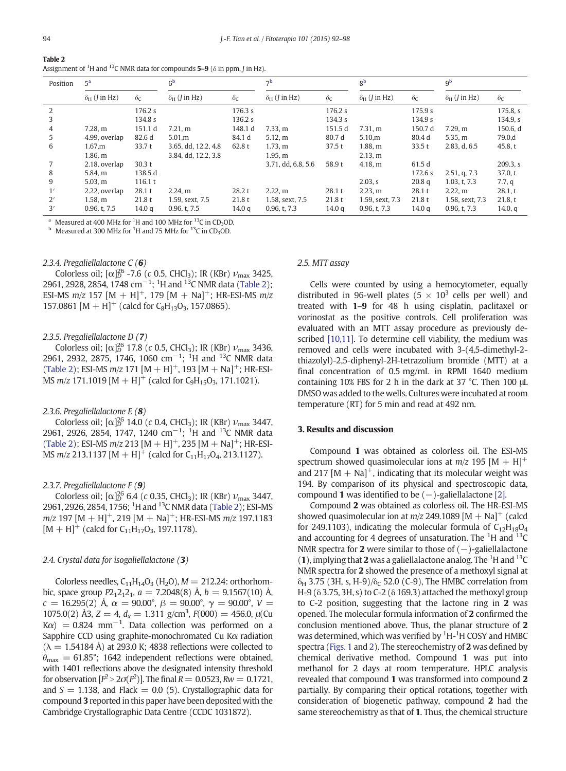<span id="page-2-0"></span>

| Table 2                                                                                                                |  |
|------------------------------------------------------------------------------------------------------------------------|--|
| Assignment of <sup>1</sup> H and <sup>13</sup> C NMR data for compounds <b>5–9</b> ( $\delta$ in ppm, <i>J</i> in Hz). |  |

| Position | 5 <sup>a</sup>               |                        | 6 <sup>b</sup>                     |                        | $\neg b$                     |                       | 8 <sup>b</sup>               |                        | 9 <sup>b</sup>               |                       |
|----------|------------------------------|------------------------|------------------------------------|------------------------|------------------------------|-----------------------|------------------------------|------------------------|------------------------------|-----------------------|
|          | $\delta_H$ ( <i>J</i> in Hz) | $\delta_{\mathcal{C}}$ | $\delta_{\rm H}$ ( <i>J</i> in Hz) | $\delta_{\mathcal{C}}$ | $\delta_H$ ( <i>J</i> in Hz) | $\delta_{\mathsf{C}}$ | $\delta_H$ ( <i>J</i> in Hz) | $\delta_{\mathcal{C}}$ | $\delta_H$ ( <i>J</i> in Hz) | $\delta_{\mathsf{C}}$ |
| 2        |                              | 176.2 s                |                                    | 176.3 s                |                              | 176.2 s               |                              | 175.9 s                |                              | 175.8, s              |
| 3        |                              | 134.8 s                |                                    | 136.2 s                |                              | 134.3 s               |                              | 134.9 s                |                              | 134.9. s              |
| 4        | 7.28. m                      | 151.1 d                | 7.21 m                             | 148.1 d                | 7.33 m                       | 151.5 d               | 7.31 m                       | 150.7 d                | 7.29,m                       | 150.6, d              |
| 5        | 4.99, overlap                | 82.6 d                 | 5.01,m                             | 84.1 d                 | 5.12, m                      | 80.7 d                | 5.10,m                       | 80.4 d                 | 5.35, m                      | 79.0,d                |
| 6        | 1.67,m                       | 33.7t                  | 3.65, dd, 12.2, 4.8                | 62.8 t                 | 1.73, m                      | 37.5t                 | 1.88, m                      | 33.5t                  | 2.83, d, 6.5                 | 45.8, t               |
|          | 1.86, m                      |                        | 3.84, dd, 12.2, 3.8                |                        | 1.95, m                      |                       | 2.13, m                      |                        |                              |                       |
|          | 2.18, overlap                | 30.3t                  |                                    |                        | 3.71, dd, 6.8, 5.6           | 58.9 t                | 4.18, m                      | 61.5 d                 |                              | 209.3, s              |
| 8        | 5.84. m                      | 138.5 d                |                                    |                        |                              |                       |                              | 172.6 s                | 2.51, q, 7.3                 | 37.0, t               |
| 9        | 5.03, m                      | 116.1 t                |                                    |                        |                              |                       | 2.03, s                      | 20.8 <sub>q</sub>      | 1.03, t, 7.3                 | 7.7, q                |
| 1'       | 2.22, overlap                | 28.1t                  | 2.24,m                             | 28.2t                  | 2.22,m                       | 28.1t                 | 2.23, m                      | 28.1 t                 | 2.22,m                       | 28.1, t               |
| 2'       | 1.58, m                      | 21.8t                  | 1.59, sext, 7.5                    | 21.8t                  | 1.58, sext, 7.5              | 21.8t                 | 1.59, sext, 7.3              | 21.8t                  | 1.58, sext, 7.3              | 21.8, t               |
| 3'       | 0.96, t, 7.5                 | 14.0 <sub>q</sub>      | 0.96, t, 7.5                       | 14.0 <sub>q</sub>      | 0.96, t, 7.3                 | 14.0 <sub>q</sub>     | 0.96, t, 7.3                 | 14.0 <sub>q</sub>      | 0.96, t, 7.3                 | 14.0, $q$             |

<sup>a</sup> Measured at 400 MHz for <sup>1</sup>H and 100 MHz for <sup>13</sup>C in CD<sub>3</sub>OD.<br><sup>b</sup> Measured at 300 MHz for <sup>1</sup>H and 75 MHz for <sup>13</sup>C in CD<sub>3</sub>OD.

# 2.3.4. Pregaliellalactone C (6)

Colorless oil;  $[\alpha]_D^{26}$  -7.6 (c 0.5, CHCl<sub>3</sub>); IR (KBr)  $\nu_{\text{max}}$  3425, 2961, 2928, 2854, 1748 cm<sup>-1</sup>; <sup>1</sup>H and <sup>13</sup>C NMR data (Table 2); ESI-MS  $m/z$  157 [M + H]<sup>+</sup>, 179 [M + Na]<sup>+</sup>; HR-ESI-MS  $m/z$ 157.0861  $[M + H]^{+}$  (calcd for  $C_8H_{13}O_3$ , 157.0865).

# 2.3.5. Pregaliellalactone D (7)

Colorless oil;  $\lbrack \alpha \rbrack_0^{26}$  17.8 (c 0.5, CHCl<sub>3</sub>); IR (KBr)  $\nu_{\text{max}}$  3436, 2961, 2932, 2875, 1746, 1060 cm<sup>-1</sup>; <sup>1</sup>H and <sup>13</sup>C NMR data (Table 2); ESI-MS  $m/z$  171  $[M + H]$ <sup>+</sup>, 193  $[M + Na]$ <sup>+</sup>; HR-ESI-MS  $m/z$  171.1019 [M + H]<sup>+</sup> (calcd for C<sub>9</sub>H<sub>15</sub>O<sub>3</sub>, 171.1021).

#### 2.3.6. Pregaliellalactone E (8)

Colorless oil;  $[\alpha]_D^{26}$  14.0 (c 0.4, CHCl<sub>3</sub>); IR (KBr)  $\nu_{\text{max}}$  3447, 2961, 2926, 2854, 1747, 1240 cm<sup>-1</sup>; <sup>1</sup>H and <sup>13</sup>C NMR data (Table 2); ESI-MS  $m/z$  213 [M + H]<sup>+</sup>, 235 [M + Na]<sup>+</sup>; HR-ESI-MS  $m/z$  213.1137 [M + H]<sup>+</sup> (calcd for C<sub>11</sub>H<sub>17</sub>O<sub>4</sub>, 213.1127).

#### 2.3.7. Pregaliellalactone  $F(\mathbf{9})$

Colorless oil;  $[\alpha]_D^{26}$  6.4 (c 0.35, CHCl<sub>3</sub>); IR (KBr)  $\nu_{\text{max}}$  3447, 2961, 2926, 2854, 1756; <sup>1</sup>H and <sup>13</sup>C NMR data (Table 2); ESI-MS  $m/z$  197 [M + H]<sup>+</sup>, 219 [M + Na]<sup>+</sup>; HR-ESI-MS  $m/z$  197.1183  $[M + H]^{+}$  (calcd for  $C_{11}H_{17}O_3$ , 197,1178).

# 2.4. Crystal data for isogaliellalactone (3)

Colorless needles,  $C_{11}H_{14}O_3$  (H<sub>2</sub>O),  $M = 212.24$ : orthorhombic, space group  $P2_12_12_1$ ,  $a = 7.2048(8)$  Å,  $b = 9.1567(10)$  Å, c = 16.295(2) Å,  $\alpha = 90.00^{\circ}$ ,  $\beta = 90.00^{\circ}$ ,  $\gamma = 90.00^{\circ}$ ,  $V =$ 1075.0(2) Å3,  $Z = 4$ ,  $d_x = 1.311$  g/cm<sup>3</sup>,  $F(000) = 456.0$ ,  $\mu$ (Cu  $K\alpha$ ) = 0.824 mm<sup>-1</sup>. Data collection was performed on a Sapphire CCD using graphite-monochromated Cu Kα radiation  $(\lambda = 1.54184 \text{ Å})$  at 293.0 K; 4838 reflections were collected to  $\theta_{\rm max} = 61.85^{\circ}$ ; 1642 independent reflections were obtained. with 1401 reflections above the designated intensity threshold for observation  $[F^2 > 2\sigma(F^2)]$ . The final  $R = 0.0523$ ,  $Rw = 0.1721$ , and  $S = 1.138$ , and Flack = 0.0 (5). Crystallographic data for compound 3 reported in this paper have been deposited with the Cambridge Crystallographic Data Centre (CCDC 1031872).

#### 2.5. MTT assay

Cells were counted by using a hemocytometer, equally distributed in 96-well plates (5  $\times$  10<sup>3</sup> cells per well) and treated with 1–9 for 48 h using cisplatin, paclitaxel or vorinostat as the positive controls. Cell proliferation was evaluated with an MTT assay procedure as previously de-scribed [\[10,11\]](#page-6-0). To determine cell viability, the medium was removed and cells were incubated with 3-(4,5-dimethyl-2 thiazolyl)-2,5-diphenyl-2H-tetrazolium bromide (MTT) at a final concentration of 0.5 mg/mL in RPMI 1640 medium containing 10% FBS for 2 h in the dark at 37 °C. Then 100 μL DMSO was added to the wells. Cultures were incubated at room temperature (RT) for 5 min and read at 492 nm.

# 3. Results and discussion

Compound 1 was obtained as colorless oil. The ESI-MS spectrum showed quasimolecular ions at  $m/z$  195  $[M + H]^{+}$ and 217  $[M + Na]$ <sup>+</sup>, indicating that its molecular weight was 194. By comparison of its physical and spectroscopic data, compound 1 was identified to be  $(-)$ -galiellalactone [\[2\].](#page-6-0)

Compound 2 was obtained as colorless oil. The HR-ESI-MS showed quasimolecular ion at  $m/z$  249.1089 [M + Na]<sup>+</sup> (calcd for 249.1103), indicating the molecular formula of  $C_{12}H_{18}O_4$ and accounting for 4 degrees of unsaturation. The  ${}^{1}$ H and  ${}^{13}$ C NMR spectra for 2 were similar to those of  $(-)$ -galiellalactone (1), implying that 2 was a galiellalactone analog. The  ${}^{1}$ H and  ${}^{13}$ C NMR spectra for 2 showed the presence of a methoxyl signal at  $\delta_H$  3.75 (3H, s, H-9)/ $\delta_C$  52.0 (C-9), The HMBC correlation from H-9 (δ 3.75, 3H, s) to C-2 (δ 169.3) attached the methoxyl group to C-2 position, suggesting that the lactone ring in 2 was opened. The molecular formula information of 2 confirmed the conclusion mentioned above. Thus, the planar structure of 2 was determined, which was verified by  ${}^{1}$ H- ${}^{1}$ H COSY and HMBC spectra [\(Figs. 1](#page-3-0) and [2\)](#page-3-0). The stereochemistry of 2 was defined by chemical derivative method. Compound 1 was put into methanol for 2 days at room temperature. HPLC analysis revealed that compound 1 was transformed into compound 2 partially. By comparing their optical rotations, together with consideration of biogenetic pathway, compound 2 had the same stereochemistry as that of 1. Thus, the chemical structure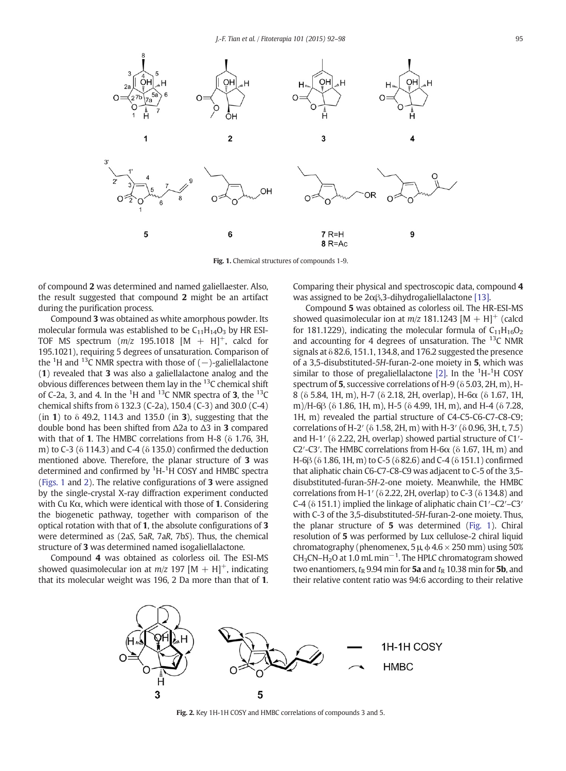<span id="page-3-0"></span>

Fig. 1. Chemical structures of compounds 1-9.

of compound 2 was determined and named galiellaester. Also, the result suggested that compound 2 might be an artifact during the purification process.

Compound 3 was obtained as white amorphous powder. Its molecular formula was established to be  $C_{11}H_{14}O_3$  by HR ESI-TOF MS spectrum  $(m/z$  195.1018  $[M + H]^{+}$ , calcd for 195.1021), requiring 5 degrees of unsaturation. Comparison of the  $\rm ^1H$  and  $\rm ^{13}C$  NMR spectra with those of ( $-$ )-galiellalactone (1) revealed that 3 was also a galiellalactone analog and the obvious differences between them lay in the 13C chemical shift of C-2a, 3, and 4. In the <sup>1</sup>H and <sup>13</sup>C NMR spectra of **3**, the <sup>13</sup>C chemical shifts from δ 132.3 (C-2a), 150.4 (C-3) and 30.0 (C-4) (in 1) to  $\delta$  49.2, 114.3 and 135.0 (in 3), suggesting that the double bond has been shifted from Δ2a to Δ3 in 3 compared with that of 1. The HMBC correlations from H-8 (δ 1.76, 3H, m) to C-3 (δ 114.3) and C-4 (δ 135.0) confirmed the deduction mentioned above. Therefore, the planar structure of 3 was determined and confirmed by <sup>1</sup>H-<sup>1</sup>H COSY and HMBC spectra (Figs. 1 and 2). The relative configurations of 3 were assigned by the single-crystal X-ray diffraction experiment conducted with Cu Kα, which were identical with those of 1. Considering the biogenetic pathway, together with comparison of the optical rotation with that of 1, the absolute configurations of 3 were determined as (2aS, 5aR, 7aR, 7bS). Thus, the chemical structure of 3 was determined named isogaliellalactone.

Compound 4 was obtained as colorless oil. The ESI-MS showed quasimolecular ion at  $m/z$  197 [M + H]<sup>+</sup>, indicating that its molecular weight was 196, 2 Da more than that of 1. Comparing their physical and spectroscopic data, compound 4 was assigned to be 2αβ,3-dihydrogaliellalactone [\[13\]](#page-6-0).

Compound 5 was obtained as colorless oil. The HR-ESI-MS showed quasimolecular ion at  $m/z$  181.1243 [M + H]<sup>+</sup> (calcd for 181.1229), indicating the molecular formula of  $C_{11}H_{16}O_2$ and accounting for 4 degrees of unsaturation. The  $^{13}$ C NMR signals at  $\delta$  82.6, 151.1, 134.8, and 176.2 suggested the presence of a 3,5-disubstituted-5H-furan-2-one moiety in 5, which was similar to those of pregaliellalactone  $[2]$ . In the  ${}^{1}$ H- ${}^{1}$ H COSY spectrum of 5, successive correlations of H-9 (δ 5.03, 2H, m), H-8 (δ 5.84, 1H, m), H-7 (δ 2.18, 2H, overlap), H-6α (δ 1.67, 1H, m)/H-6β (δ 1.86, 1H, m), H-5 (δ 4.99, 1H, m), and H-4 (δ 7.28, 1H, m) revealed the partial structure of C4-C5-C6-C7-C8-C9; correlations of H-2′ (δ 1.58, 2H, m) with H-3′ (δ 0.96, 3H, t, 7.5) and H-1′ (δ 2.22, 2H, overlap) showed partial structure of C1′- C2′-C3′. The HMBC correlations from H-6 $\alpha$  ( $\delta$  1.67, 1H, m) and H-6β (δ 1.86, 1H, m) to C-5 (δ 82.6) and C-4 (δ 151.1) confirmed that aliphatic chain C6-C7-C8-C9 was adjacent to C-5 of the 3,5 disubstituted-furan-5H-2-one moiety. Meanwhile, the HMBC correlations from H-1′ (δ 2.22, 2H, overlap) to C-3 (δ 134.8) and C-4 (δ 151.1) implied the linkage of aliphatic chain C1′–C2′–C3′ with C-3 of the 3,5-disubstituted-5H-furan-2-one moiety. Thus, the planar structure of 5 was determined (Fig. 1). Chiral resolution of 5 was performed by Lux cellulose-2 chiral liquid chromatography (phenomenex,  $5 \mu$ ,  $\phi$  4.6  $\times$  250 mm) using 50%  $CH<sub>3</sub>CN-H<sub>2</sub>O$  at 1.0 mL min<sup>-1</sup>. The HPLC chromatogram showed two enantiomers,  $t_{\rm R}$  9.94 min for 5a and  $t_{\rm R}$  10.38 min for 5b, and their relative content ratio was 94:6 according to their relative



Fig. 2. Key 1H-1H COSY and HMBC correlations of compounds 3 and 5.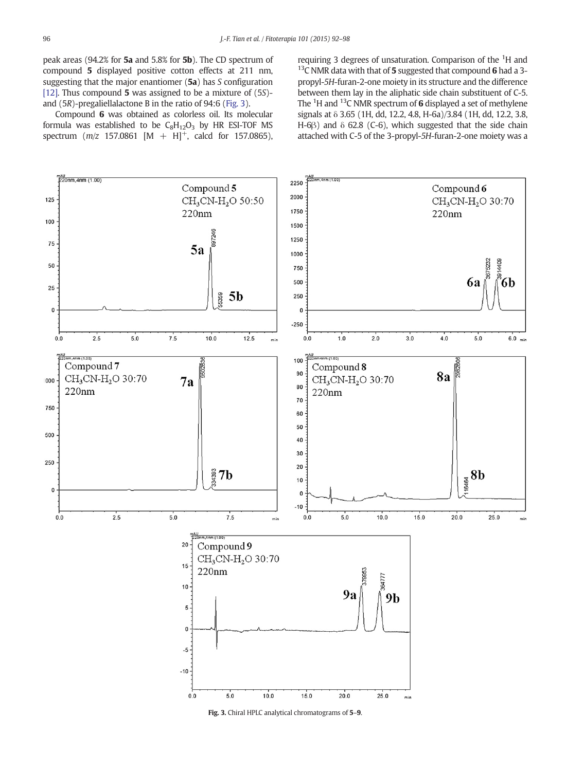<span id="page-4-0"></span>peak areas (94.2% for 5a and 5.8% for 5b). The CD spectrum of compound 5 displayed positive cotton effects at 211 nm, suggesting that the major enantiomer (5a) has S configuration [\[12\]](#page-6-0). Thus compound 5 was assigned to be a mixture of  $(5S)$ and (5R)-pregaliellalactone B in the ratio of 94:6 (Fig. 3).

Compound 6 was obtained as colorless oil. Its molecular formula was established to be  $C_8H_{12}O_3$  by HR ESI-TOF MS spectrum  $(m/z \ 157.0861 \ [M + H]^+$ , calcd for 157.0865),

requiring 3 degrees of unsaturation. Comparison of the <sup>1</sup>H and  $13C$  NMR data with that of 5 suggested that compound 6 had a 3propyl-5H-furan-2-one moiety in its structure and the difference between them lay in the aliphatic side chain substituent of C-5. The  $\rm{^{1}H}$  and  $\rm{^{13}C}$  NMR spectrum of 6 displayed a set of methylene signals at δ 3.65 (1H, dd, 12.2, 4.8, H-6a)/3.84 (1H, dd, 12.2, 3.8, H-6 $\beta$ ) and  $\delta$  62.8 (C-6), which suggested that the side chain attached with C-5 of the 3-propyl-5H-furan-2-one moiety was a

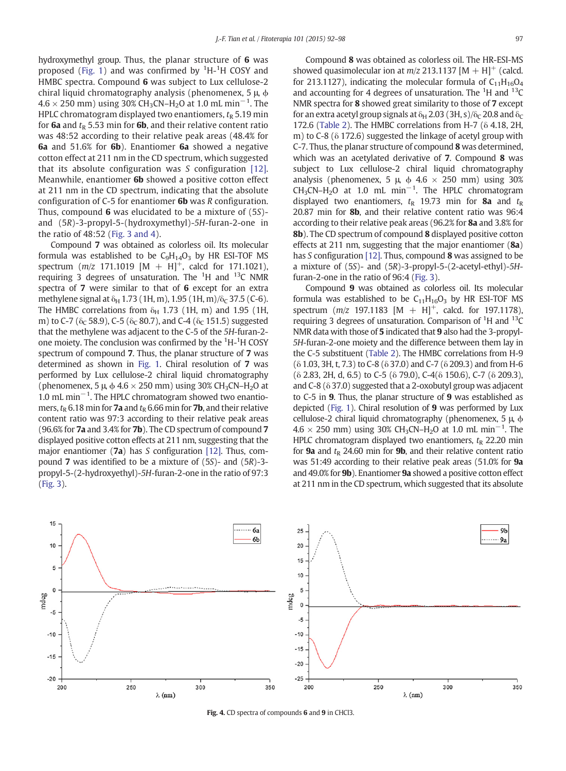<span id="page-5-0"></span>hydroxymethyl group. Thus, the planar structure of 6 was proposed ([Fig. 1](#page-3-0)) and was confirmed by  ${}^{1}$ H- ${}^{1}$ H COSY and HMBC spectra. Compound 6 was subject to Lux cellulose-2 chiral liquid chromatography analysis (phenomenex, 5 μ, ϕ  $4.6 \times 250$  mm) using 30% CH<sub>3</sub>CN–H<sub>2</sub>O at 1.0 mL min $^{-1}$ . The HPLC chromatogram displayed two enantiomers,  $t<sub>R</sub>$  5.19 min for 6a and  $t_{R}$  5.53 min for 6b, and their relative content ratio was 48:52 according to their relative peak areas (48.4% for 6a and 51.6% for 6b). Enantiomer 6a showed a negative cotton effect at 211 nm in the CD spectrum, which suggested that its absolute configuration was S configuration [\[12\]](#page-6-0). Meanwhile, enantiomer 6b showed a positive cotton effect at 211 nm in the CD spectrum, indicating that the absolute configuration of C-5 for enantiomer 6b was R configuration. Thus, compound **6** was elucidated to be a mixture of  $(5S)$ and (5R)-3-propyl-5-(hydroxymethyl)-5H-furan-2-one in the ratio of 48:52 [\(Fig. 3 and 4\)](#page-4-0).

Compound 7 was obtained as colorless oil. Its molecular formula was established to be  $C_9H_{14}O_3$  by HR ESI-TOF MS spectrum  $(m/z \ 171.1019 \ [M + H]^+$ , calcd for 171.1021), requiring 3 degrees of unsaturation. The <sup>1</sup>H and <sup>13</sup>C NMR spectra of 7 were similar to that of 6 except for an extra methylene signal at  $\delta_H$  1.73 (1H, m), 1.95 (1H, m)/ $\delta_C$  37.5 (C-6). The HMBC correlations from  $\delta_H$  1.73 (1H, m) and 1.95 (1H, m) to C-7 ( $\delta_C$  58.9), C-5 ( $\delta_C$  80.7), and C-4 ( $\delta_C$  151.5) suggested that the methylene was adjacent to the C-5 of the 5H-furan-2 one moiety. The conclusion was confirmed by the  $\rm ^1H\text{-}^1H$  COSY spectrum of compound 7. Thus, the planar structure of 7 was determined as shown in [Fig. 1.](#page-3-0) Chiral resolution of 7 was performed by Lux cellulose-2 chiral liquid chromatography (phenomenex, 5  $\mu$ ,  $\phi$  4.6  $\times$  250 mm) using 30% CH<sub>3</sub>CN–H<sub>2</sub>O at 1.0 mL min−<sup>1</sup> . The HPLC chromatogram showed two enantiomers,  $t_R$  6.18 min for **7a** and  $t_R$  6.66 min for **7b**, and their relative content ratio was 97:3 according to their relative peak areas (96.6% for 7a and 3.4% for 7b). The CD spectrum of compound 7 displayed positive cotton effects at 211 nm, suggesting that the major enantiomer (7a) has S configuration [\[12\]](#page-6-0). Thus, compound 7 was identified to be a mixture of (5S)- and (5R)-3 propyl-5-(2-hydroxyethyl)-5H-furan-2-one in the ratio of 97:3 [\(Fig. 3\)](#page-4-0).

Compound 8 was obtained as colorless oil. The HR-ESI-MS showed quasimolecular ion at  $m/z$  213.1137 [M + H]<sup>+</sup> (calcd. for 213.1127), indicating the molecular formula of  $C_{11}H_{16}O_4$ and accounting for 4 degrees of unsaturation. The  ${}^{1}$ H and  ${}^{13}$ C NMR spectra for 8 showed great similarity to those of 7 except for an extra acetyl group signals at  $\delta_H$  2.03 (3H, s)/ $\delta_C$  20.8 and  $\delta_C$ 172.6 ([Table 2\)](#page-2-0). The HMBC correlations from H-7 (δ 4.18, 2H, m) to C-8 (δ 172.6) suggested the linkage of acetyl group with C-7. Thus, the planar structure of compound 8 was determined, which was an acetylated derivative of 7. Compound 8 was subject to Lux cellulose-2 chiral liquid chromatography analysis (phenomenex, 5  $\mu$   $\phi$  4.6  $\times$  250 mm) using 30%  $CH<sub>3</sub>CN-H<sub>2</sub>O$  at 1.0 mL min<sup>-1</sup>. The HPLC chromatogram displayed two enantiomers,  $t<sub>R</sub>$  19.73 min for 8a and  $t<sub>R</sub>$ 20.87 min for 8b, and their relative content ratio was 96:4 according to their relative peak areas (96.2% for 8a and 3.8% for 8b). The CD spectrum of compound 8 displayed positive cotton effects at 211 nm, suggesting that the major enantiomer (8a) has S configuration [\[12\].](#page-6-0) Thus, compound 8 was assigned to be a mixture of (5S)- and (5R)-3-propyl-5-(2-acetyl-ethyl)-5Hfuran-2-one in the ratio of 96:4 [\(Fig. 3\)](#page-4-0).

Compound 9 was obtained as colorless oil. Its molecular formula was established to be  $C_{11}H_{16}O_3$  by HR ESI-TOF MS spectrum  $(m/z \ 197.1183 \ [M + H]^+$ , calcd. for 197.1178), requiring 3 degrees of unsaturation. Comparison of  ${}^{1}$ H and  ${}^{13}$ C NMR data with those of 5 indicated that 9 also had the 3-propyl-5H-furan-2-one moiety and the difference between them lay in the C-5 substituent ([Table 2](#page-2-0)). The HMBC correlations from H-9 (δ 1.03, 3H, t, 7.3) to C-8 (δ 37.0) and C-7 (δ 209.3) and from H-6 (δ 2.83, 2H, d, 6.5) to C-5 (δ 79.0), C-4(δ 150.6), C-7 (δ 209.3), and C-8 (δ 37.0) suggested that a 2-oxobutyl group was adjacent to C-5 in 9. Thus, the planar structure of 9 was established as depicted [\(Fig. 1](#page-3-0)). Chiral resolution of 9 was performed by Lux cellulose-2 chiral liquid chromatography (phenomenex, 5 μ, ϕ  $4.6 \times 250$  mm) using 30% CH<sub>3</sub>CN–H<sub>2</sub>O at 1.0 mL min<sup>-1</sup>. The HPLC chromatogram displayed two enantiomers,  $t<sub>R</sub>$  22.20 min for **9a** and  $t<sub>R</sub>$  24.60 min for **9b**, and their relative content ratio was 51:49 according to their relative peak areas (51.0% for 9a and 49.0% for 9b). Enantiomer 9a showed a positive cotton effect at 211 nm in the CD spectrum, which suggested that its absolute



Fig. 4. CD spectra of compounds 6 and 9 in CHCl3.